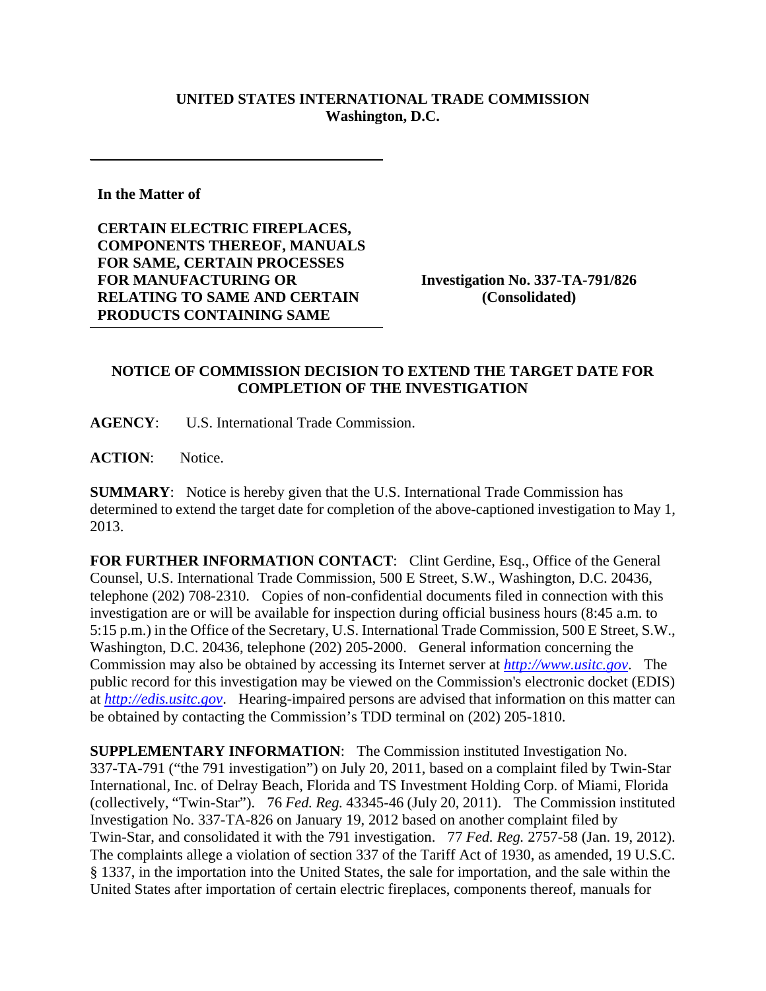## **UNITED STATES INTERNATIONAL TRADE COMMISSION Washington, D.C.**

**In the Matter of** 

**CERTAIN ELECTRIC FIREPLACES, COMPONENTS THEREOF, MANUALS FOR SAME, CERTAIN PROCESSES FOR MANUFACTURING OR RELATING TO SAME AND CERTAIN PRODUCTS CONTAINING SAME** 

**Investigation No. 337-TA-791/826 (Consolidated)** 

## **NOTICE OF COMMISSION DECISION TO EXTEND THE TARGET DATE FOR COMPLETION OF THE INVESTIGATION**

**AGENCY**: U.S. International Trade Commission.

**ACTION**: Notice.

**SUMMARY**: Notice is hereby given that the U.S. International Trade Commission has determined to extend the target date for completion of the above-captioned investigation to May 1, 2013.

FOR FURTHER INFORMATION CONTACT: Clint Gerdine, Esq., Office of the General Counsel, U.S. International Trade Commission, 500 E Street, S.W., Washington, D.C. 20436, telephone (202) 708-2310. Copies of non-confidential documents filed in connection with this investigation are or will be available for inspection during official business hours (8:45 a.m. to 5:15 p.m.) in the Office of the Secretary, U.S. International Trade Commission, 500 E Street, S.W., Washington, D.C. 20436, telephone (202) 205-2000. General information concerning the Commission may also be obtained by accessing its Internet server at *http://www.usitc.gov*. The public record for this investigation may be viewed on the Commission's electronic docket (EDIS) at *http://edis.usitc.gov*. Hearing-impaired persons are advised that information on this matter can be obtained by contacting the Commission's TDD terminal on (202) 205-1810.

**SUPPLEMENTARY INFORMATION**: The Commission instituted Investigation No. 337-TA-791 ("the 791 investigation") on July 20, 2011, based on a complaint filed by Twin-Star International, Inc. of Delray Beach, Florida and TS Investment Holding Corp. of Miami, Florida (collectively, "Twin-Star"). 76 *Fed. Reg.* 43345-46 (July 20, 2011). The Commission instituted Investigation No. 337-TA-826 on January 19, 2012 based on another complaint filed by Twin-Star, and consolidated it with the 791 investigation. 77 *Fed. Reg.* 2757-58 (Jan. 19, 2012). The complaints allege a violation of section 337 of the Tariff Act of 1930, as amended, 19 U.S.C. § 1337, in the importation into the United States, the sale for importation, and the sale within the United States after importation of certain electric fireplaces, components thereof, manuals for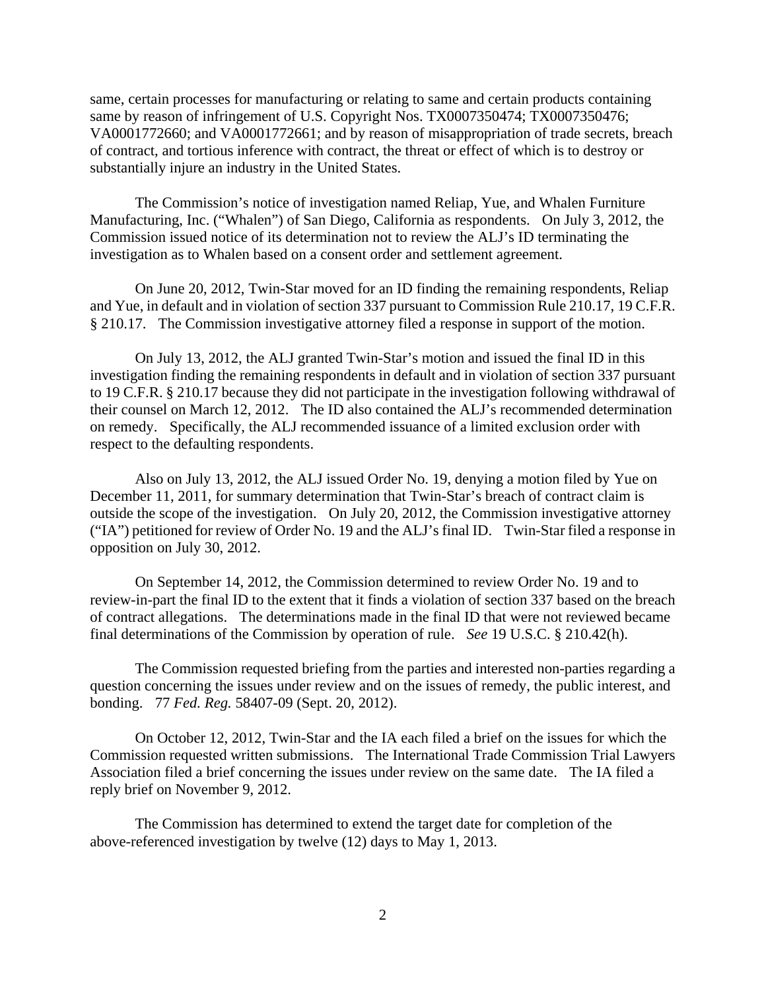same, certain processes for manufacturing or relating to same and certain products containing same by reason of infringement of U.S. Copyright Nos. TX0007350474; TX0007350476; VA0001772660; and VA0001772661; and by reason of misappropriation of trade secrets, breach of contract, and tortious inference with contract, the threat or effect of which is to destroy or substantially injure an industry in the United States.

 The Commission's notice of investigation named Reliap, Yue, and Whalen Furniture Manufacturing, Inc. ("Whalen") of San Diego, California as respondents. On July 3, 2012, the Commission issued notice of its determination not to review the ALJ's ID terminating the investigation as to Whalen based on a consent order and settlement agreement.

 On June 20, 2012, Twin-Star moved for an ID finding the remaining respondents, Reliap and Yue, in default and in violation of section 337 pursuant to Commission Rule 210.17, 19 C.F.R. § 210.17. The Commission investigative attorney filed a response in support of the motion.

 On July 13, 2012, the ALJ granted Twin-Star's motion and issued the final ID in this investigation finding the remaining respondents in default and in violation of section 337 pursuant to 19 C.F.R. § 210.17 because they did not participate in the investigation following withdrawal of their counsel on March 12, 2012. The ID also contained the ALJ's recommended determination on remedy. Specifically, the ALJ recommended issuance of a limited exclusion order with respect to the defaulting respondents.

 Also on July 13, 2012, the ALJ issued Order No. 19, denying a motion filed by Yue on December 11, 2011, for summary determination that Twin-Star's breach of contract claim is outside the scope of the investigation. On July 20, 2012, the Commission investigative attorney ("IA") petitioned for review of Order No. 19 and the ALJ's final ID. Twin-Star filed a response in opposition on July 30, 2012.

 On September 14, 2012, the Commission determined to review Order No. 19 and to review-in-part the final ID to the extent that it finds a violation of section 337 based on the breach of contract allegations. The determinations made in the final ID that were not reviewed became final determinations of the Commission by operation of rule. *See* 19 U.S.C. § 210.42(h).

 The Commission requested briefing from the parties and interested non-parties regarding a question concerning the issues under review and on the issues of remedy, the public interest, and bonding. 77 *Fed. Reg.* 58407-09 (Sept. 20, 2012).

 On October 12, 2012, Twin-Star and the IA each filed a brief on the issues for which the Commission requested written submissions. The International Trade Commission Trial Lawyers Association filed a brief concerning the issues under review on the same date. The IA filed a reply brief on November 9, 2012.

The Commission has determined to extend the target date for completion of the above-referenced investigation by twelve (12) days to May 1, 2013.